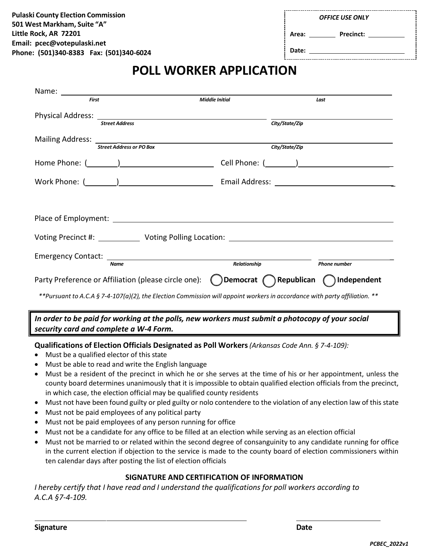| <b>OFFICE USE ONLY</b> |  |  |
|------------------------|--|--|

| Area: | <b>Precinct:</b> |  |
|-------|------------------|--|
|       |                  |  |

**Date:**

## **POLL WORKER APPLICATION**

| <b>First</b> |                                                                                                                            | <b>Middle Initial</b> |                | Last                |
|--------------|----------------------------------------------------------------------------------------------------------------------------|-----------------------|----------------|---------------------|
|              |                                                                                                                            |                       |                |                     |
|              | <b>Street Address</b>                                                                                                      |                       | City/State/Zip |                     |
|              |                                                                                                                            |                       |                |                     |
|              | <b>Street Address or PO Box</b>                                                                                            |                       | City/State/Zip |                     |
|              |                                                                                                                            |                       |                |                     |
|              |                                                                                                                            |                       |                |                     |
|              |                                                                                                                            |                       |                |                     |
|              |                                                                                                                            |                       |                |                     |
|              |                                                                                                                            |                       |                |                     |
|              | <b>Name</b>                                                                                                                | <b>Relationship</b>   |                | <b>Phone number</b> |
|              | Party Preference or Affiliation (please circle one): $\bigcirc$ Democrat $\bigcirc$ Republican $\bigcirc$ Independent      |                       |                |                     |
|              | **Pursuant to A.C.A § 7-4-107(a)(2), the Election Commission will appoint workers in accordance with party affiliation. ** |                       |                |                     |

## *In order to be paid for working at the polls, new workers must submit a photocopy of your social security card and complete a W-4 Form.*

**Qualifications of Election Officials Designated as Poll Workers***(Arkansas Code Ann. § 7-4-109):*

- Must be a qualified elector of this state
- Must be able to read and write the English language
- Must be a resident of the precinct in which he or she serves at the time of his or her appointment, unless the county board determines unanimously that it is impossible to obtain qualified election officials from the precinct, in which case, the election official may be qualified county residents
- Must not have been found guilty or pled guilty or nolo contendere to the violation of any election law of this state
- Must not be paid employees of any political party
- Must not be paid employees of any person running for office
- Must not be a candidate for any office to be filled at an election while serving as an election official
- Must not be married to or related within the second degree of consanguinity to any candidate running for office in the current election if objection to the service is made to the county board of election commissioners within ten calendar days after posting the list of election officials

## **SIGNATURE AND CERTIFICATION OF INFORMATION**

*I hereby certify that I have read and I understand the qualifications for poll workers according to A.C.A §7-4-109.*